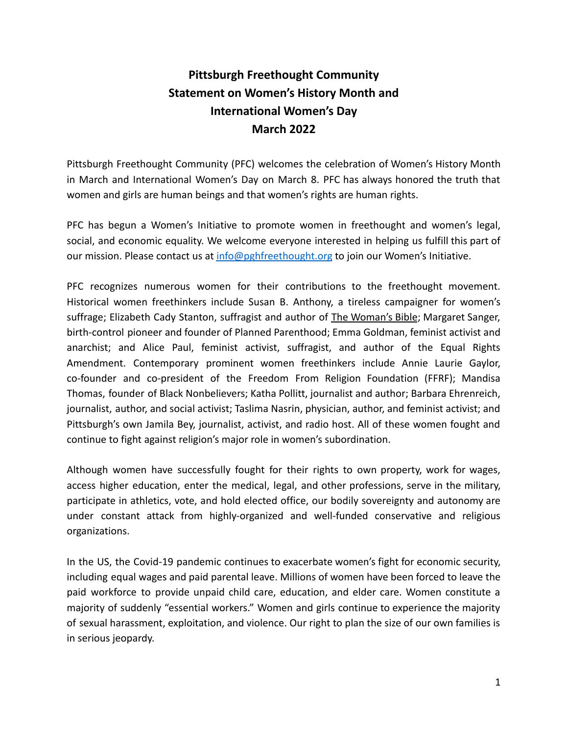## **Pittsburgh Freethought Community Statement on Women's History Month and International Women's Day March 2022**

Pittsburgh Freethought Community (PFC) welcomes the celebration of Women's History Month in March and International Women's Day on March 8. PFC has always honored the truth that women and girls are human beings and that women's rights are human rights.

PFC has begun a Women's Initiative to promote women in freethought and women's legal, social, and economic equality. We welcome everyone interested in helping us fulfill this part of our mission. Please contact us at [info@pghfreethought.org](mailto:info@pghfreethought.org) to join our Women's Initiative.

PFC recognizes numerous women for their contributions to the freethought movement. Historical women freethinkers include Susan B. Anthony, a tireless campaigner for women's suffrage; Elizabeth Cady Stanton, suffragist and author of The Woman's Bible; Margaret Sanger, birth-control pioneer and founder of Planned Parenthood; Emma Goldman, feminist activist and anarchist; and Alice Paul, feminist activist, suffragist, and author of the Equal Rights Amendment. Contemporary prominent women freethinkers include Annie Laurie Gaylor, co-founder and co-president of the Freedom From Religion Foundation (FFRF); Mandisa Thomas, founder of Black Nonbelievers; Katha Pollitt, journalist and author; Barbara Ehrenreich, journalist, author, and social activist; Taslima Nasrin, physician, author, and feminist activist; and Pittsburgh's own Jamila Bey, journalist, activist, and radio host. All of these women fought and continue to fight against religion's major role in women's subordination.

Although women have successfully fought for their rights to own property, work for wages, access higher education, enter the medical, legal, and other professions, serve in the military, participate in athletics, vote, and hold elected office, our bodily sovereignty and autonomy are under constant attack from highly-organized and well-funded conservative and religious organizations.

In the US, the Covid-19 pandemic continues to exacerbate women's fight for economic security, including equal wages and paid parental leave. Millions of women have been forced to leave the paid workforce to provide unpaid child care, education, and elder care. Women constitute a majority of suddenly "essential workers." Women and girls continue to experience the majority of sexual harassment, exploitation, and violence. Our right to plan the size of our own families is in serious jeopardy.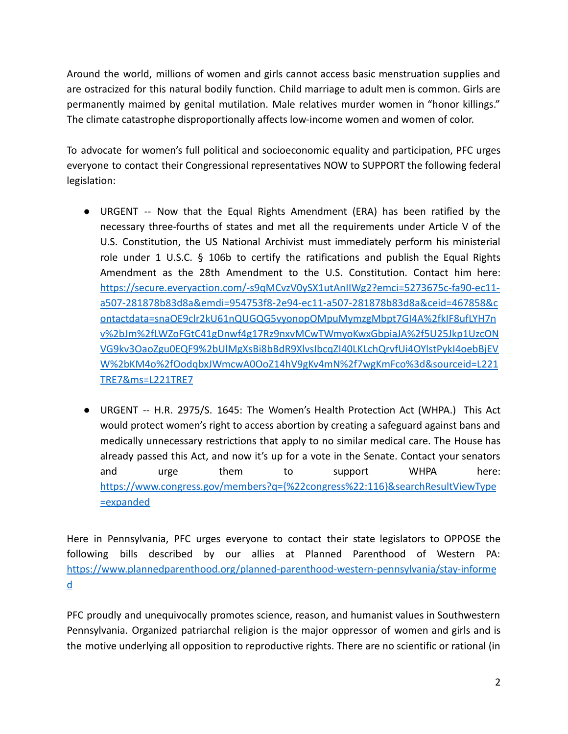Around the world, millions of women and girls cannot access basic menstruation supplies and are ostracized for this natural bodily function. Child marriage to adult men is common. Girls are permanently maimed by genital mutilation. Male relatives murder women in "honor killings." The climate catastrophe disproportionally affects low-income women and women of color.

To advocate for women's full political and socioeconomic equality and participation, PFC urges everyone to contact their Congressional representatives NOW to SUPPORT the following federal legislation:

- URGENT -- Now that the Equal Rights Amendment (ERA) has been ratified by the necessary three-fourths of states and met all the requirements under Article V of the U.S. Constitution, the US National Archivist must immediately perform his ministerial role under 1 U.S.C. § 106b to certify the ratifications and publish the Equal Rights Amendment as the 28th Amendment to the U.S. Constitution. Contact him here: [https://secure.everyaction.com/-s9qMCvzV0ySX1utAnIIWg2?emci=5273675c-fa90-ec11](https://secure.everyaction.com/-s9qMCvzV0ySX1utAnIIWg2?emci=5273675c-fa90-ec11-a507-281878b83d8a&emdi=954753f8-2e94-ec11-a507-281878b83d8a&ceid=467858&contactdata=snaOE9clr2kU61nQUGQG5vyonopOMpuMymzgMbpt7GI4A%2fkIF8ufLYH7nv%2bJm%2fLWZoFGtC41gDnwf4g17Rz9nxvMCwTWmyoKwxGbpiaJA%2f5U25Jkp1UzcONVG9kv3OaoZgu0EQF9%2bUlMgXsBi8bBdR9XlvsIbcqZI40LKLchQrvfUi4OYlstPykI4oebBjEVW%2bKM4o%2fOodqbxJWmcwA0OoZ14hV9gKv4mN%2f7wgKmFco%3d&sourceid=L221TRE7&ms=L221TRE7) [a507-281878b83d8a&emdi=954753f8-2e94-ec11-a507-281878b83d8a&ceid=467858&c](https://secure.everyaction.com/-s9qMCvzV0ySX1utAnIIWg2?emci=5273675c-fa90-ec11-a507-281878b83d8a&emdi=954753f8-2e94-ec11-a507-281878b83d8a&ceid=467858&contactdata=snaOE9clr2kU61nQUGQG5vyonopOMpuMymzgMbpt7GI4A%2fkIF8ufLYH7nv%2bJm%2fLWZoFGtC41gDnwf4g17Rz9nxvMCwTWmyoKwxGbpiaJA%2f5U25Jkp1UzcONVG9kv3OaoZgu0EQF9%2bUlMgXsBi8bBdR9XlvsIbcqZI40LKLchQrvfUi4OYlstPykI4oebBjEVW%2bKM4o%2fOodqbxJWmcwA0OoZ14hV9gKv4mN%2f7wgKmFco%3d&sourceid=L221TRE7&ms=L221TRE7) [ontactdata=snaOE9clr2kU61nQUGQG5vyonopOMpuMymzgMbpt7GI4A%2fkIF8ufLYH7n](https://secure.everyaction.com/-s9qMCvzV0ySX1utAnIIWg2?emci=5273675c-fa90-ec11-a507-281878b83d8a&emdi=954753f8-2e94-ec11-a507-281878b83d8a&ceid=467858&contactdata=snaOE9clr2kU61nQUGQG5vyonopOMpuMymzgMbpt7GI4A%2fkIF8ufLYH7nv%2bJm%2fLWZoFGtC41gDnwf4g17Rz9nxvMCwTWmyoKwxGbpiaJA%2f5U25Jkp1UzcONVG9kv3OaoZgu0EQF9%2bUlMgXsBi8bBdR9XlvsIbcqZI40LKLchQrvfUi4OYlstPykI4oebBjEVW%2bKM4o%2fOodqbxJWmcwA0OoZ14hV9gKv4mN%2f7wgKmFco%3d&sourceid=L221TRE7&ms=L221TRE7) [v%2bJm%2fLWZoFGtC41gDnwf4g17Rz9nxvMCwTWmyoKwxGbpiaJA%2f5U25Jkp1UzcON](https://secure.everyaction.com/-s9qMCvzV0ySX1utAnIIWg2?emci=5273675c-fa90-ec11-a507-281878b83d8a&emdi=954753f8-2e94-ec11-a507-281878b83d8a&ceid=467858&contactdata=snaOE9clr2kU61nQUGQG5vyonopOMpuMymzgMbpt7GI4A%2fkIF8ufLYH7nv%2bJm%2fLWZoFGtC41gDnwf4g17Rz9nxvMCwTWmyoKwxGbpiaJA%2f5U25Jkp1UzcONVG9kv3OaoZgu0EQF9%2bUlMgXsBi8bBdR9XlvsIbcqZI40LKLchQrvfUi4OYlstPykI4oebBjEVW%2bKM4o%2fOodqbxJWmcwA0OoZ14hV9gKv4mN%2f7wgKmFco%3d&sourceid=L221TRE7&ms=L221TRE7) [VG9kv3OaoZgu0EQF9%2bUlMgXsBi8bBdR9XlvsIbcqZI40LKLchQrvfUi4OYlstPykI4oebBjEV](https://secure.everyaction.com/-s9qMCvzV0ySX1utAnIIWg2?emci=5273675c-fa90-ec11-a507-281878b83d8a&emdi=954753f8-2e94-ec11-a507-281878b83d8a&ceid=467858&contactdata=snaOE9clr2kU61nQUGQG5vyonopOMpuMymzgMbpt7GI4A%2fkIF8ufLYH7nv%2bJm%2fLWZoFGtC41gDnwf4g17Rz9nxvMCwTWmyoKwxGbpiaJA%2f5U25Jkp1UzcONVG9kv3OaoZgu0EQF9%2bUlMgXsBi8bBdR9XlvsIbcqZI40LKLchQrvfUi4OYlstPykI4oebBjEVW%2bKM4o%2fOodqbxJWmcwA0OoZ14hV9gKv4mN%2f7wgKmFco%3d&sourceid=L221TRE7&ms=L221TRE7) [W%2bKM4o%2fOodqbxJWmcwA0OoZ14hV9gKv4mN%2f7wgKmFco%3d&sourceid=L221](https://secure.everyaction.com/-s9qMCvzV0ySX1utAnIIWg2?emci=5273675c-fa90-ec11-a507-281878b83d8a&emdi=954753f8-2e94-ec11-a507-281878b83d8a&ceid=467858&contactdata=snaOE9clr2kU61nQUGQG5vyonopOMpuMymzgMbpt7GI4A%2fkIF8ufLYH7nv%2bJm%2fLWZoFGtC41gDnwf4g17Rz9nxvMCwTWmyoKwxGbpiaJA%2f5U25Jkp1UzcONVG9kv3OaoZgu0EQF9%2bUlMgXsBi8bBdR9XlvsIbcqZI40LKLchQrvfUi4OYlstPykI4oebBjEVW%2bKM4o%2fOodqbxJWmcwA0OoZ14hV9gKv4mN%2f7wgKmFco%3d&sourceid=L221TRE7&ms=L221TRE7) [TRE7&ms=L221TRE7](https://secure.everyaction.com/-s9qMCvzV0ySX1utAnIIWg2?emci=5273675c-fa90-ec11-a507-281878b83d8a&emdi=954753f8-2e94-ec11-a507-281878b83d8a&ceid=467858&contactdata=snaOE9clr2kU61nQUGQG5vyonopOMpuMymzgMbpt7GI4A%2fkIF8ufLYH7nv%2bJm%2fLWZoFGtC41gDnwf4g17Rz9nxvMCwTWmyoKwxGbpiaJA%2f5U25Jkp1UzcONVG9kv3OaoZgu0EQF9%2bUlMgXsBi8bBdR9XlvsIbcqZI40LKLchQrvfUi4OYlstPykI4oebBjEVW%2bKM4o%2fOodqbxJWmcwA0OoZ14hV9gKv4mN%2f7wgKmFco%3d&sourceid=L221TRE7&ms=L221TRE7)
- URGENT -- H.R. 2975/S. 1645: The Women's Health Protection Act (WHPA.) This Act would protect women's right to access abortion by creating a safeguard against bans and medically unnecessary restrictions that apply to no similar medical care. The House has already passed this Act, and now it's up for a vote in the Senate. Contact your senators and urge them to support WHPA here: [https://www.congress.gov/members?q={%22congress%22:116}&searchResultViewType](https://www.congress.gov/members?q=%7b%22congress%22:116%7d&searchResultViewType=expanded) [=expanded](https://www.congress.gov/members?q=%7b%22congress%22:116%7d&searchResultViewType=expanded)

Here in Pennsylvania, PFC urges everyone to contact their state legislators to OPPOSE the following bills described by our allies at Planned Parenthood of Western PA: [https://www.plannedparenthood.org/planned-parenthood-western-pennsylvania/stay-informe](https://www.plannedparenthood.org/planned-parenthood-western-pennsylvania/stay-informed) [d](https://www.plannedparenthood.org/planned-parenthood-western-pennsylvania/stay-informed)

PFC proudly and unequivocally promotes science, reason, and humanist values in Southwestern Pennsylvania. Organized patriarchal religion is the major oppressor of women and girls and is the motive underlying all opposition to reproductive rights. There are no scientific or rational (in